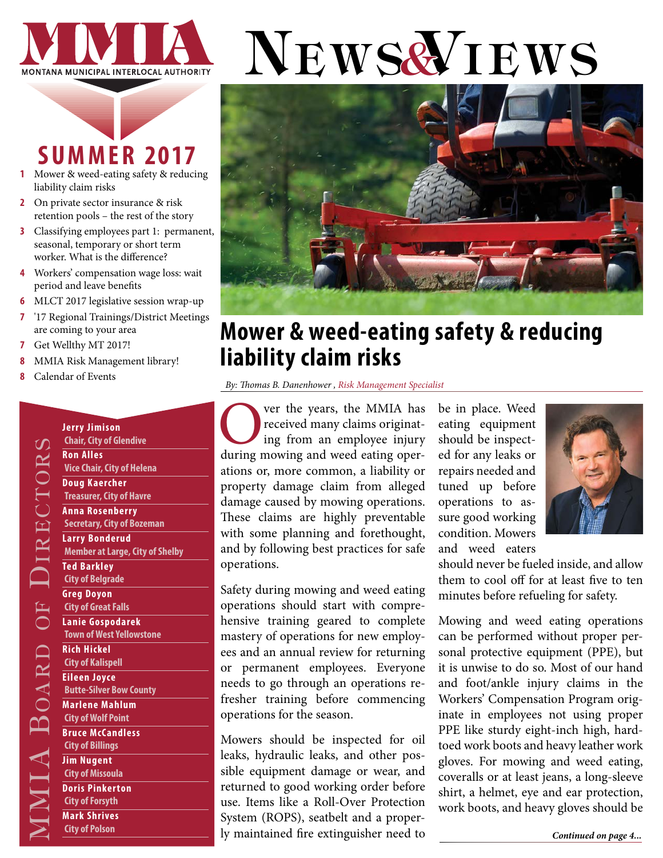

# **SUMMER 2017**

- **1** Mower & weed-eating safety & reducing liability claim risks
- **2** [On private sector insurance & risk](#page-1-0)  [retention pools – the rest of the story](#page-1-0)
- **3** [Classifying employees part 1: permanent,](#page-2-0)  [seasonal, temporary or short term](#page-2-0)  [worker. What is the difference?](#page-2-0)
- **4** [Workers' compensation wage loss: wait](#page-3-0)  [period and leave benefits](#page-3-0)
- **6** [MLCT 2017 legislative session wrap-up](#page-5-0)
- **7** ['17 Regional Trainings/District Meetings](#page-6-0)  [are coming to your area](#page-6-0)
- **7** [Get Wellthy MT 2017!](#page-6-0)
- **8** [MMIA Risk Management library!](#page-7-0)
- **8** [Calendar of Events](#page-7-0)

#### City of Wolf Point<br>
Bruce McCandless<br>
City of Billings<br>
Im Nugent<br>
City of Missoula<br>
Doris Pinkerton<br>
City of Forsyth<br>
Mark Shrives<br>
City of Polson **Jerry Jimison Chair, City of Glendive Ron Alles Vice Chair, City of Helena Doug Kaercher Treasurer, City of Havre Anna Rosenberry Secretary, City of Bozeman Larry Bonderud Member at Large, City of Shelby Ted Barkley City of Belgrade Greg Doyon City of Great Falls Lanie Gospodarek Town of West Yellowstone Rich Hickel City of Kalispell Eileen Joyce Butte-Silver Bow County Marlene Mahlum City of Wolf Point Bruce McCandless City of Billings Jim Nugent City of Missoula Doris Pinkerton City of Forsyth**

**Mark Shrives City of Polson**

# NEWS& IEWS



# **Mower & weed-eating safety & reducing liability claim risks**

*By: Thomas B. Danenhower , Risk Management Specialist* 

**OVERTUGE 18 YOU SERVIET SHOW SET ON SERVIET SHOW SHOWSTERN AND SURFACE SHOWSTERN AND SURFACE SHOWSTERN AND SURFACE SHOWSTERN AND SUPERFERN AND SUPERFERN AND SUPERFERN AND SUPERFERN AND SUPERFERN AND SUPERFERN AND SUPERFER** received many claims originating from an employee injury ations or, more common, a liability or property damage claim from alleged damage caused by mowing operations. These claims are highly preventable with some planning and forethought, and by following best practices for safe operations.

Safety during mowing and weed eating operations should start with comprehensive training geared to complete mastery of operations for new employees and an annual review for returning or permanent employees. Everyone needs to go through an operations refresher training before commencing operations for the season.

Mowers should be inspected for oil leaks, hydraulic leaks, and other possible equipment damage or wear, and returned to good working order before use. Items like a Roll-Over Protection System (ROPS), seatbelt and a properly maintained fire extinguisher need to

be in place. Weed eating equipment should be inspected for any leaks or repairs needed and tuned up before operations to assure good working condition. Mowers and weed eaters



should never be fueled inside, and allow them to cool off for at least five to ten minutes before refueling for safety.

Mowing and weed eating operations can be performed without proper personal protective equipment (PPE), but it is unwise to do so. Most of our hand and foot/ankle injury claims in the Workers' Compensation Program originate in employees not using proper PPE like sturdy eight-inch high, hardtoed work boots and heavy leather work gloves. For mowing and weed eating, coveralls or at least jeans, a long-sleeve shirt, a helmet, eye and ear protection, work boots, and heavy gloves should be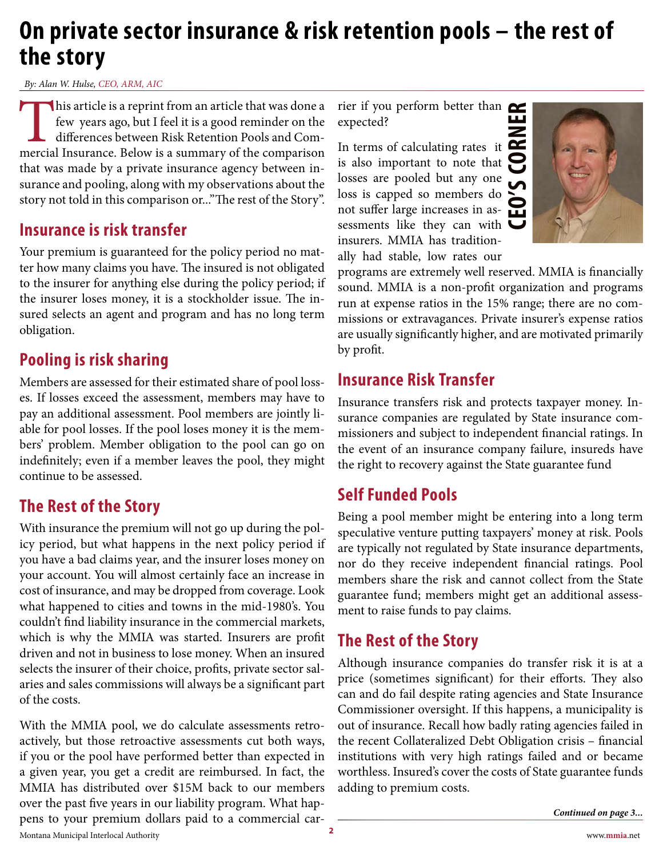# <span id="page-1-0"></span>**On private sector insurance & risk retention pools – the rest of the story**

*By: Alan W. Hulse, CEO, ARM, AIC* 

This article is a reprint from an article that was done a few years ago, but I feel it is a good reminder on the differences between Risk Retention Pools and Commercial Insurance. Below is a summary of the comparison that was made by a private insurance agency between insurance and pooling, along with my observations about the story not told in this comparison or..."The rest of the Story".

### **Insurance is risk transfer**

Your premium is guaranteed for the policy period no matter how many claims you have. The insured is not obligated to the insurer for anything else during the policy period; if the insurer loses money, it is a stockholder issue. The insured selects an agent and program and has no long term obligation.

### **Pooling is risk sharing**

Members are assessed for their estimated share of pool losses. If losses exceed the assessment, members may have to pay an additional assessment. Pool members are jointly liable for pool losses. If the pool loses money it is the members' problem. Member obligation to the pool can go on indefinitely; even if a member leaves the pool, they might continue to be assessed.

### **The Rest of the Story**

With insurance the premium will not go up during the policy period, but what happens in the next policy period if you have a bad claims year, and the insurer loses money on your account. You will almost certainly face an increase in cost of insurance, and may be dropped from coverage. Look what happened to cities and towns in the mid-1980's. You couldn't find liability insurance in the commercial markets, which is why the MMIA was started. Insurers are profit driven and not in business to lose money. When an insured selects the insurer of their choice, profits, private sector salaries and sales commissions will always be a significant part of the costs.

Montana Municipal Interlocal Authority www.**mmia**.net **<sup>2</sup>** With the MMIA pool, we do calculate assessments retroactively, but those retroactive assessments cut both ways, if you or the pool have performed better than expected in a given year, you get a credit are reimbursed. In fact, the MMIA has distributed over \$15M back to our members over the past five years in our liability program. What happens to your premium dollars paid to a commercial car-

rier if you perform better than expected?

In terms of calculating rates it is also important to note that losses are pooled but any one loss is capped so members do not suffer large increases in assessments like they can with insurers. MMIA has traditionally had stable, low rates our



programs are extremely well reserved. MMIA is financially sound. MMIA is a non-profit organization and programs run at expense ratios in the 15% range; there are no commissions or extravagances. Private insurer's expense ratios are usually significantly higher, and are motivated primarily by profit.

### **Insurance Risk Transfer**

Insurance transfers risk and protects taxpayer money. Insurance companies are regulated by State insurance commissioners and subject to independent financial ratings. In the event of an insurance company failure, insureds have the right to recovery against the State guarantee fund

### **Self Funded Pools**

Being a pool member might be entering into a long term speculative venture putting taxpayers' money at risk. Pools are typically not regulated by State insurance departments, nor do they receive independent financial ratings. Pool members share the risk and cannot collect from the State guarantee fund; members might get an additional assessment to raise funds to pay claims.

### **The Rest of the Story**

Although insurance companies do transfer risk it is at a price (sometimes significant) for their efforts. They also can and do fail despite rating agencies and State Insurance Commissioner oversight. If this happens, a municipality is out of insurance. Recall how badly rating agencies failed in the recent Collateralized Debt Obligation crisis – financial institutions with very high ratings failed and or became worthless. Insured's cover the costs of State guarantee funds adding to premium costs.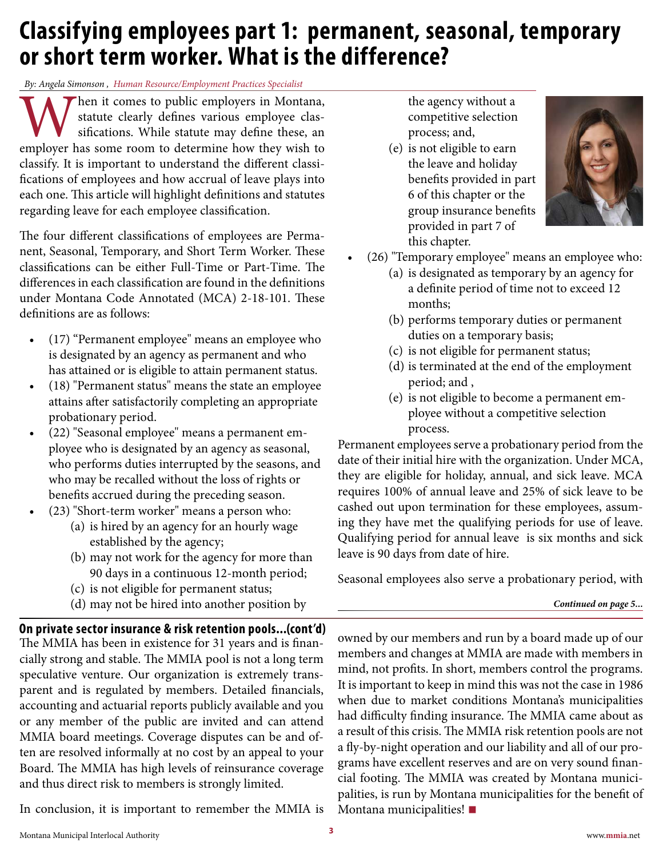# <span id="page-2-0"></span>**Classifying employees part 1: permanent, seasonal, temporary or short term worker. What is the difference?**

*By: Angela Simonson , Human Resource/Employment Practices Specialist*

When it comes to public employers in Montana, statute clearly defines various employee classifications. While statute may define these, an employer has some room to determine how they wish to statute clearly defines various employee classifications. While statute may define these, an classify. It is important to understand the different classifications of employees and how accrual of leave plays into each one. This article will highlight definitions and statutes regarding leave for each employee classification.

The four different classifications of employees are Permanent, Seasonal, Temporary, and Short Term Worker. These classifications can be either Full-Time or Part-Time. The differences in each classification are found in the definitions under Montana Code Annotated (MCA) 2-18-101. These definitions are as follows:

- (17) "Permanent employee" means an employee who is designated by an agency as permanent and who has attained or is eligible to attain permanent status.
- (18) "Permanent status" means the state an employee attains after satisfactorily completing an appropriate probationary period.
- (22) "Seasonal employee" means a permanent employee who is designated by an agency as seasonal, who performs duties interrupted by the seasons, and who may be recalled without the loss of rights or benefits accrued during the preceding season.
- (23) "Short-term worker" means a person who:
	- (a) is hired by an agency for an hourly wage established by the agency;
	- (b) may not work for the agency for more than 90 days in a continuous 12-month period;
	- (c) is not eligible for permanent status;
	- (d) may not be hired into another position by

The MMIA has been in existence for 31 years and is financially strong and stable. The MMIA pool is not a long term speculative venture. Our organization is extremely transparent and is regulated by members. Detailed financials, accounting and actuarial reports publicly available and you or any member of the public are invited and can attend MMIA board meetings. Coverage disputes can be and often are resolved informally at no cost by an appeal to your Board. The MMIA has high levels of reinsurance coverage and thus direct risk to members is strongly limited. **On private sector insurance & risk retention pools...(cont'd)**

In conclusion, it is important to remember the MMIA is

the agency without a competitive selection process; and,

(e) is not eligible to earn the leave and holiday benefits provided in part 6 of this chapter or the group insurance benefits provided in part 7 of this chapter.



- (26) "Temporary employee" means an employee who:
	- (a) is designated as temporary by an agency for a definite period of time not to exceed 12 months;
	- (b) performs temporary duties or permanent duties on a temporary basis;
	- (c) is not eligible for permanent status;
	- (d) is terminated at the end of the employment period; and ,
	- (e) is not eligible to become a permanent employee without a competitive selection process.

Permanent employees serve a probationary period from the date of their initial hire with the organization. Under MCA, they are eligible for holiday, annual, and sick leave. MCA requires 100% of annual leave and 25% of sick leave to be cashed out upon termination for these employees, assuming they have met the qualifying periods for use of leave. Qualifying period for annual leave is six months and sick leave is 90 days from date of hire.

Seasonal employees also serve a probationary period, with

#### *Continued on page 5...*

owned by our members and run by a board made up of our members and changes at MMIA are made with members in mind, not profits. In short, members control the programs. It is important to keep in mind this was not the case in 1986 when due to market conditions Montana's municipalities had difficulty finding insurance. The MMIA came about as a result of this crisis. The MMIA risk retention pools are not a fly-by-night operation and our liability and all of our programs have excellent reserves and are on very sound financial footing. The MMIA was created by Montana municipalities, is run by Montana municipalities for the benefit of Montana municipalities! **■**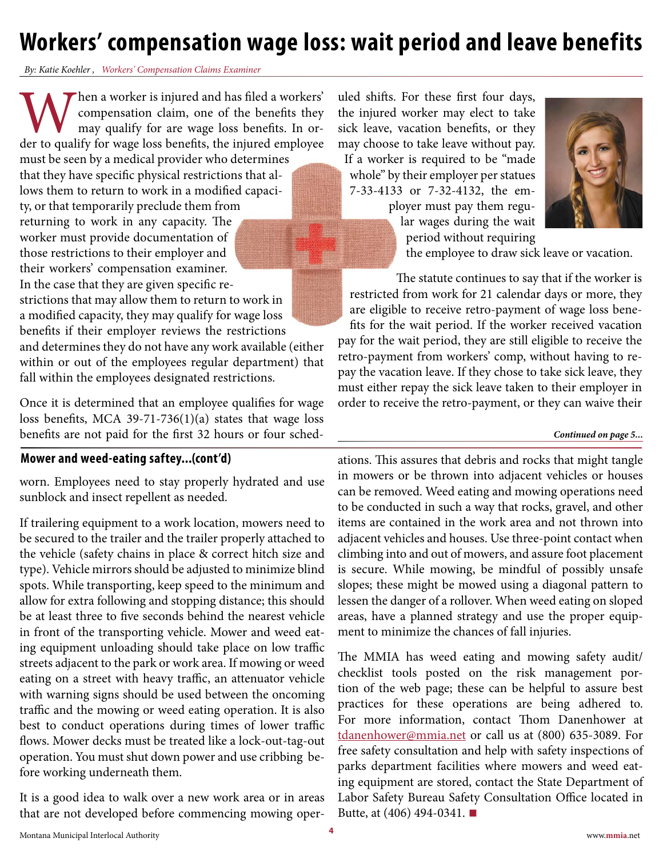# <span id="page-3-0"></span>**Workers' compensation wage loss: wait period and leave benefits**

*By: Katie Koehler , Workers' Compensation Claims Examiner* 

When a worker is injured and has filed a workers' compensation claim, one of the benefits they may qualify for are wage loss benefits. In order to qualify for wage loss benefits, the injured employee compensation claim, one of the benefits they may qualify for are wage loss benefits. In or-

must be seen by a medical provider who determines that they have specific physical restrictions that allows them to return to work in a modified capacity, or that temporarily preclude them from returning to work in any capacity. The worker must provide documentation of those restrictions to their employer and their workers' compensation examiner. In the case that they are given specific re-

strictions that may allow them to return to work in a modified capacity, they may qualify for wage loss benefits if their employer reviews the restrictions and determines they do not have any work available (either within or out of the employees regular department) that fall within the employees designated restrictions.

Once it is determined that an employee qualifies for wage loss benefits, MCA 39-71-736(1)(a) states that wage loss benefits are not paid for the first 32 hours or four sched-

#### **Mower and weed-eating saftey...(cont'd)**

worn. Employees need to stay properly hydrated and use sunblock and insect repellent as needed.

If trailering equipment to a work location, mowers need to be secured to the trailer and the trailer properly attached to the vehicle (safety chains in place & correct hitch size and type). Vehicle mirrors should be adjusted to minimize blind spots. While transporting, keep speed to the minimum and allow for extra following and stopping distance; this should be at least three to five seconds behind the nearest vehicle in front of the transporting vehicle. Mower and weed eating equipment unloading should take place on low traffic streets adjacent to the park or work area. If mowing or weed eating on a street with heavy traffic, an attenuator vehicle with warning signs should be used between the oncoming traffic and the mowing or weed eating operation. It is also best to conduct operations during times of lower traffic flows. Mower decks must be treated like a lock-out-tag-out operation. You must shut down power and use cribbing before working underneath them.

It is a good idea to walk over a new work area or in areas that are not developed before commencing mowing operuled shifts. For these first four days, the injured worker may elect to take sick leave, vacation benefits, or they may choose to take leave without pay. If a worker is required to be "made whole" by their employer per statues 7-33-4133 or 7-32-4132, the em-

> ployer must pay them regular wages during the wait period without requiring



the employee to draw sick leave or vacation.

The statute continues to say that if the worker is restricted from work for 21 calendar days or more, they are eligible to receive retro-payment of wage loss benefits for the wait period. If the worker received vacation pay for the wait period, they are still eligible to receive the retro-payment from workers' comp, without having to repay the vacation leave. If they chose to take sick leave, they must either repay the sick leave taken to their employer in order to receive the retro-payment, or they can waive their

#### *Continued on page 5...*

ations. This assures that debris and rocks that might tangle in mowers or be thrown into adjacent vehicles or houses can be removed. Weed eating and mowing operations need to be conducted in such a way that rocks, gravel, and other items are contained in the work area and not thrown into adjacent vehicles and houses. Use three-point contact when climbing into and out of mowers, and assure foot placement is secure. While mowing, be mindful of possibly unsafe slopes; these might be mowed using a diagonal pattern to lessen the danger of a rollover. When weed eating on sloped areas, have a planned strategy and use the proper equipment to minimize the chances of fall injuries.

The MMIA has weed eating and mowing safety audit/ checklist tools posted on the risk management portion of the web page; these can be helpful to assure best practices for these operations are being adhered to. For more information, contact Thom Danenhower at [tdanenhower@mmia.net](mailto:tdanenhower%40mmia.net?subject=) or call us at (800) 635-3089. For free safety consultation and help with safety inspections of parks department facilities where mowers and weed eating equipment are stored, contact the State Department of Labor Safety Bureau Safety Consultation Office located in Butte, at (406) 494-0341. **■**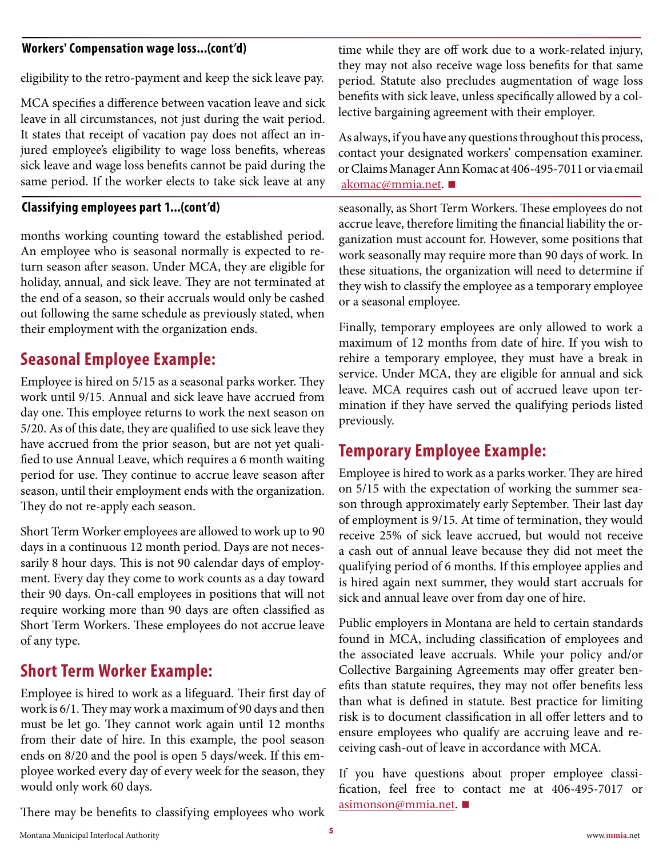#### **Workers' Compensation wage loss...(cont'd)**

eligibility to the retro-payment and keep the sick leave pay.

MCA specifies a difference between vacation leave and sick leave in all circumstances, not just during the wait period. It states that receipt of vacation pay does not affect an injured employee's eligibility to wage loss benefits, whereas sick leave and wage loss benefits cannot be paid during the same period. If the worker elects to take sick leave at any

#### **Classifying employees part 1...(cont'd)**

months working counting toward the established period. An employee who is seasonal normally is expected to return season after season. Under MCA, they are eligible for holiday, annual, and sick leave. They are not terminated at the end of a season, so their accruals would only be cashed out following the same schedule as previously stated, when their employment with the organization ends.

## **Seasonal Employee Example:**

Employee is hired on 5/15 as a seasonal parks worker. They work until 9/15. Annual and sick leave have accrued from day one. This employee returns to work the next season on 5/20. As of this date, they are qualified to use sick leave they have accrued from the prior season, but are not yet qualified to use Annual Leave, which requires a 6 month waiting period for use. They continue to accrue leave season after season, until their employment ends with the organization. They do not re-apply each season.

Short Term Worker employees are allowed to work up to 90 days in a continuous 12 month period. Days are not necessarily 8 hour days. This is not 90 calendar days of employment. Every day they come to work counts as a day toward their 90 days. On-call employees in positions that will not require working more than 90 days are often classified as Short Term Workers. These employees do not accrue leave of any type.

### **Short Term Worker Example:**

Employee is hired to work as a lifeguard. Their first day of work is 6/1. They may work a maximum of 90 days and then must be let go. They cannot work again until 12 months from their date of hire. In this example, the pool season ends on 8/20 and the pool is open 5 days/week. If this employee worked every day of every week for the season, they would only work 60 days.

There may be benefits to classifying employees who work

time while they are off work due to a work-related injury, they may not also receive wage loss benefits for that same period. Statute also precludes augmentation of wage loss benefits with sick leave, unless specifically allowed by a collective bargaining agreement with their employer.

As always, if you have any questions throughout this process, contact your designated workers' compensation examiner. or Claims Manager Ann Komac at 406-495-7011 or via email [akomac@mmia.net.](mailto:akomac%40mmia.net?subject=) **■**

seasonally, as Short Term Workers. These employees do not accrue leave, therefore limiting the financial liability the organization must account for. However, some positions that work seasonally may require more than 90 days of work. In these situations, the organization will need to determine if they wish to classify the employee as a temporary employee or a seasonal employee.

Finally, temporary employees are only allowed to work a maximum of 12 months from date of hire. If you wish to rehire a temporary employee, they must have a break in service. Under MCA, they are eligible for annual and sick leave. MCA requires cash out of accrued leave upon termination if they have served the qualifying periods listed previously.

### **Temporary Employee Example:**

Employee is hired to work as a parks worker. They are hired on 5/15 with the expectation of working the summer season through approximately early September. Their last day of employment is 9/15. At time of termination, they would receive 25% of sick leave accrued, but would not receive a cash out of annual leave because they did not meet the qualifying period of 6 months. If this employee applies and is hired again next summer, they would start accruals for sick and annual leave over from day one of hire.

Public employers in Montana are held to certain standards found in MCA, including classification of employees and the associated leave accruals. While your policy and/or Collective Bargaining Agreements may offer greater benefits than statute requires, they may not offer benefits less than what is defined in statute. Best practice for limiting risk is to document classification in all offer letters and to ensure employees who qualify are accruing leave and receiving cash-out of leave in accordance with MCA.

If you have questions about proper employee classification, feel free to contact me at 406-495-7017 or [asimonson@mmia.net](mailto:asimonson%40mmia.net?subject=). **■**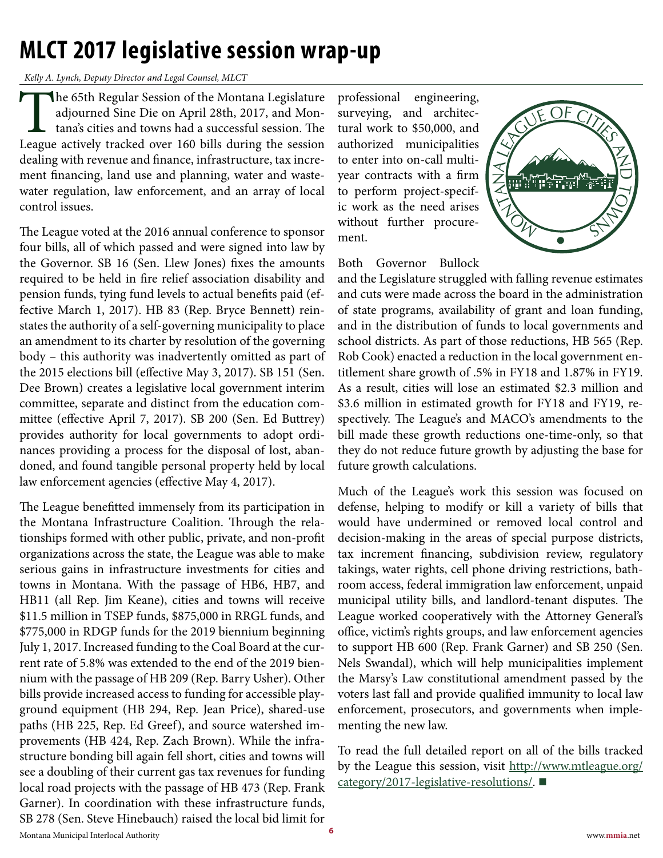# <span id="page-5-0"></span>**MLCT 2017 legislative session wrap-up**

#### *Kelly A. Lynch, Deputy Director and Legal Counsel, MLCT*

The 65th Regular Session of the Montana Legislature<br>adjourned Sine Die on April 28th, 2017, and Mon-<br>tana's cities and towns had a successful session. The<br>League actively tracked over 160 bills during the session adjourned Sine Die on April 28th, 2017, and Montana's cities and towns had a successful session. The League actively tracked over 160 bills during the session dealing with revenue and finance, infrastructure, tax increment financing, land use and planning, water and wastewater regulation, law enforcement, and an array of local control issues.

The League voted at the 2016 annual conference to sponsor four bills, all of which passed and were signed into law by the Governor. SB 16 (Sen. Llew Jones) fixes the amounts required to be held in fire relief association disability and pension funds, tying fund levels to actual benefits paid (effective March 1, 2017). HB 83 (Rep. Bryce Bennett) reinstates the authority of a self-governing municipality to place an amendment to its charter by resolution of the governing body – this authority was inadvertently omitted as part of the 2015 elections bill (effective May 3, 2017). SB 151 (Sen. Dee Brown) creates a legislative local government interim committee, separate and distinct from the education committee (effective April 7, 2017). SB 200 (Sen. Ed Buttrey) provides authority for local governments to adopt ordinances providing a process for the disposal of lost, abandoned, and found tangible personal property held by local law enforcement agencies (effective May 4, 2017).

The League benefitted immensely from its participation in the Montana Infrastructure Coalition. Through the relationships formed with other public, private, and non-profit organizations across the state, the League was able to make serious gains in infrastructure investments for cities and towns in Montana. With the passage of HB6, HB7, and HB11 (all Rep. Jim Keane), cities and towns will receive \$11.5 million in TSEP funds, \$875,000 in RRGL funds, and \$775,000 in RDGP funds for the 2019 biennium beginning July 1, 2017. Increased funding to the Coal Board at the current rate of 5.8% was extended to the end of the 2019 biennium with the passage of HB 209 (Rep. Barry Usher). Other bills provide increased access to funding for accessible playground equipment (HB 294, Rep. Jean Price), shared-use paths (HB 225, Rep. Ed Greef), and source watershed improvements (HB 424, Rep. Zach Brown). While the infrastructure bonding bill again fell short, cities and towns will see a doubling of their current gas tax revenues for funding local road projects with the passage of HB 473 (Rep. Frank Garner). In coordination with these infrastructure funds, SB 278 (Sen. Steve Hinebauch) raised the local bid limit for

professional engineering, surveying, and architectural work to \$50,000, and authorized municipalities to enter into on-call multiyear contracts with a firm to perform project-specific work as the need arises without further procurement.



#### Both Governor Bullock

and the Legislature struggled with falling revenue estimates and cuts were made across the board in the administration of state programs, availability of grant and loan funding, and in the distribution of funds to local governments and school districts. As part of those reductions, HB 565 (Rep. Rob Cook) enacted a reduction in the local government entitlement share growth of .5% in FY18 and 1.87% in FY19. As a result, cities will lose an estimated \$2.3 million and \$3.6 million in estimated growth for FY18 and FY19, respectively. The League's and MACO's amendments to the bill made these growth reductions one-time-only, so that they do not reduce future growth by adjusting the base for future growth calculations.

Much of the League's work this session was focused on defense, helping to modify or kill a variety of bills that would have undermined or removed local control and decision-making in the areas of special purpose districts, tax increment financing, subdivision review, regulatory takings, water rights, cell phone driving restrictions, bathroom access, federal immigration law enforcement, unpaid municipal utility bills, and landlord-tenant disputes. The League worked cooperatively with the Attorney General's office, victim's rights groups, and law enforcement agencies to support HB 600 (Rep. Frank Garner) and SB 250 (Sen. Nels Swandal), which will help municipalities implement the Marsy's Law constitutional amendment passed by the voters last fall and provide qualified immunity to local law enforcement, prosecutors, and governments when implementing the new law.

To read the full detailed report on all of the bills tracked by the League this session, visit [http://www.mtleague.org/](http://www.mtleague.org/category/2017-legislative-resolutions/) [category/2017-legislative-resolutions/.](http://www.mtleague.org/category/2017-legislative-resolutions/) **■**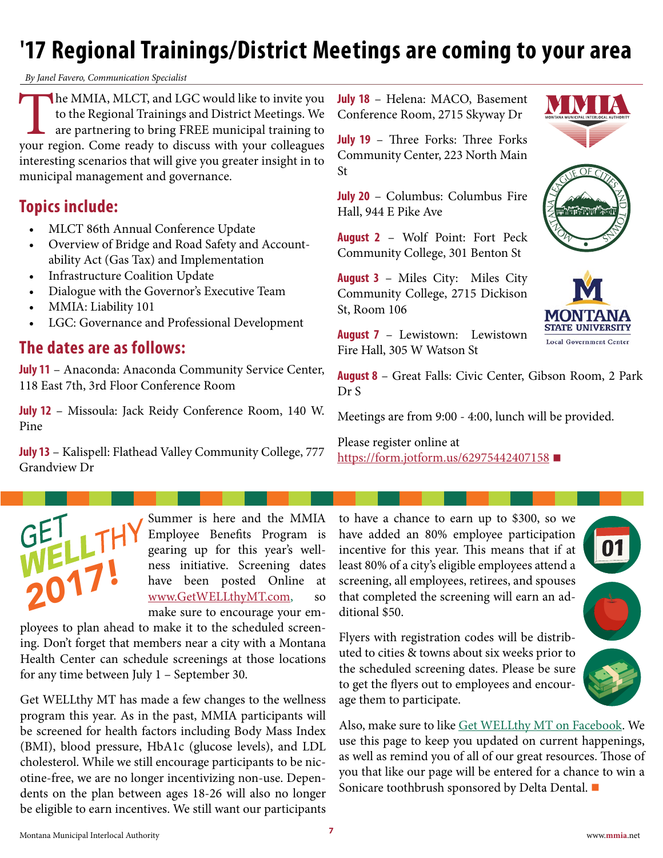# <span id="page-6-0"></span>**'17 Regional Trainings/District Meetings are coming to your area**

*By Janel Favero, Communication Specialist*

The MMIA, MLCT, and LGC would like to invite you to the Regional Trainings and District Meetings. We are partnering to bring FREE municipal training to your region. Come ready to discuss with your colleagues to the Regional Trainings and District Meetings. We are partnering to bring FREE municipal training to interesting scenarios that will give you greater insight in to municipal management and governance.

# **Topics include:**

- MLCT 86th Annual Conference Update
- Overview of Bridge and Road Safety and Accountability Act (Gas Tax) and Implementation
- Infrastructure Coalition Update
- Dialogue with the Governor's Executive Team
- MMIA: Liability 101
- LGC: Governance and Professional Development

### **The dates are as follows:**

**July 11** – Anaconda: Anaconda Community Service Center, 118 East 7th, 3rd Floor Conference Room

**July 12** – Missoula: Jack Reidy Conference Room, 140 W. Pine

**July 13** – Kalispell: Flathead Valley Community College, 777 Grandview Dr

**July 18** – Helena: MACO, Basement Conference Room, 2715 Skyway Dr

**July 19** – Three Forks: Three Forks Community Center, 223 North Main St

**July 20** – Columbus: Columbus Fire Hall, 944 E Pike Ave

**August 2** – Wolf Point: Fort Peck Community College, 301 Benton St

**August 3** – Miles City: Miles City Community College, 2715 Dickison St, Room 106

MON **STATE UNIVERSITY Local Government Center** 

LEAGUE OF CITIES

D

TOWN STREET

<sup>O</sup><sup>M</sup> ZH<br>Q  $\prec$ 

**August 7** – Lewistown: Lewistown Fire Hall, 305 W Watson St

**August 8** – Great Falls: Civic Center, Gibson Room, 2 Park Dr S

Meetings are from 9:00 - 4:00, lunch will be provided.

Please register online at <https://form.jotform.us/62975442407158> **■**

ness initiative. Screening dates<br>have been posted Online at [www.GetWELLthyMT.com](http://www.GetWELLthyMT.com), so Summer is here and the MMIA Employee Benefits Program is gearing up for this year's wellhave been posted Online at make sure to encourage your em-

ployees to plan ahead to make it to the scheduled screening. Don't forget that members near a city with a Montana Health Center can schedule screenings at those locations for any time between July 1 – September 30.

Get WELLthy MT has made a few changes to the wellness program this year. As in the past, MMIA participants will be screened for health factors including Body Mass Index (BMI), blood pressure, HbA1c (glucose levels), and LDL cholesterol. While we still encourage participants to be nicotine-free, we are no longer incentivizing non-use. Dependents on the plan between ages 18-26 will also no longer be eligible to earn incentives. We still want our participants to have a chance to earn up to \$300, so we have added an 80% employee participation incentive for this year. This means that if at least 80% of a city's eligible employees attend a screening, all employees, retirees, and spouses that completed the screening will earn an additional \$50.

Flyers with registration codes will be distrib-

the scheduled screening dates. Please be sure to get the flyers out to employees and encour-

age them to participate.

uted to cities & towns about six weeks prior to



Also, make sure to like Get WELLthy MT on Facebook. We use this page to keep you updated on current happenings, as well as remind you of all of our great resources. Those of you that like our page will be entered for a chance to win a Sonicare toothbrush sponsored by Delta Dental. **■**

*2017!*